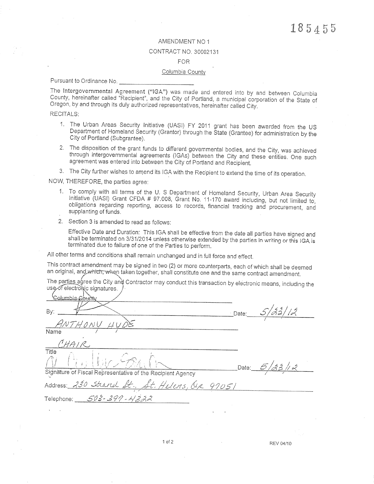### AMENDMENT NO 1

#### CONTRACT NO. 30002131

## **FOR**

#### Columbia County

Pursuant to Ordinance No.

The Intergovernmental Agreement ("IGA") was made and entered into by and between Columbia County, hereinafter called "Recipient", and the City of Portland, a municipal corporation of the State of Oregon, by and through its duly authorized representatives, hereinafter called City.

#### **RECITALS:**

- 1. The Urban Areas Security Initiative (UASI) FY 2011 grant has been awarded from the US Department of Homeland Security (Grantor) through the State (Grantee) for administration by the City of Portland (Subgrantee).
- 2. The disposition of the grant funds to different governmental bodies, and the City, was achieved through intergovernmental agreements (IGAs) between the City and these entities. One such agreement was entered into between the City of Portland and Recipient.
- 3. The City further wishes to amend its IGA with the Recipient to extend the time of its operation.

NOW, THEREFORE, the parties agree:

- 1. To comply with all terms of the U. S Department of Homeland Security, Urban Area Security Initiative (UASI) Grant CFDA # 97.008, Grant No. 11-170 award including, but not limited to. obligations regarding reporting, access to records, financial tracking and procurement, and supplanting of funds.
- 2. Section 3 is amended to read as follows:

Effective Date and Duration: This IGA shall be effective from the date all parties have signed and shall be terminated on 3/31/2014 unless otherwise extended by the parties in writing or this IGA is terminated due to failure of one of the Parties to perform.

All other terms and conditions shall remain unchanged and in full force and effect.

This contract amendment may be signed in two (2) or more counterparts, each of which shall be deemed an original, and which, when taken together, shall constitute one and the same contract amendment.

The parties agree the City and Contractor may conduct this transaction by electronic means, including the use of electronic signatures.

alumbia Bv: Date: Name Title Date: Sidnature of Fiscal Representative of the Recipient Agency  $97051$ Address:  $503 -$ 390 - 11 222 Telephone:

REV 04/10